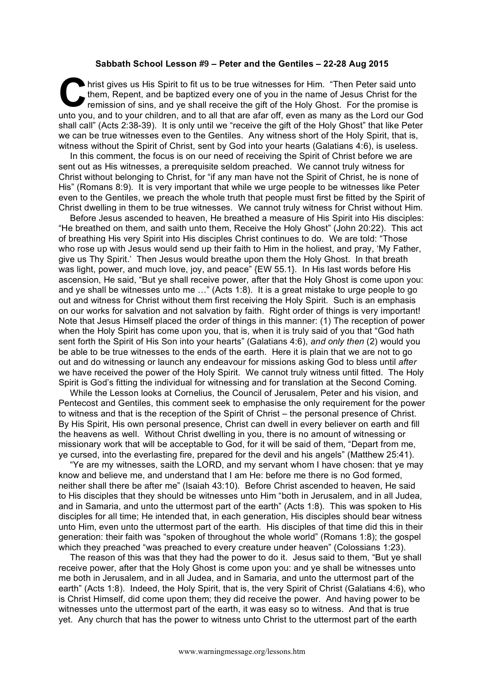## **Sabbath School Lesson #9 – Peter and the Gentiles – 22-28 Aug 2015**

hrist gives us His Spirit to fit us to be true witnesses for Him. "Then Peter said unto them, Repent, and be baptized every one of you in the name of Jesus Christ for the remission of sins, and ye shall receive the gift of the Holy Ghost. For the promise is unto you, and to your children, and to all that are afar off, even as many as the Lord our God shall call" (Acts 2:38-39). It is only until we "receive the gift of the Holy Ghost" that like Peter we can be true witnesses even to the Gentiles. Any witness short of the Holy Spirit, that is, witness without the Spirit of Christ, sent by God into your hearts (Galatians 4:6), is useless. C the

In this comment, the focus is on our need of receiving the Spirit of Christ before we are sent out as His witnesses, a prerequisite seldom preached. We cannot truly witness for Christ without belonging to Christ, for "if any man have not the Spirit of Christ, he is none of His" (Romans 8:9). It is very important that while we urge people to be witnesses like Peter even to the Gentiles, we preach the whole truth that people must first be fitted by the Spirit of Christ dwelling in them to be true witnesses. We cannot truly witness for Christ without Him.

Before Jesus ascended to heaven, He breathed a measure of His Spirit into His disciples: "He breathed on them, and saith unto them, Receive the Holy Ghost" (John 20:22). This act of breathing His very Spirit into His disciples Christ continues to do. We are told: "Those who rose up with Jesus would send up their faith to Him in the holiest, and pray, 'My Father, give us Thy Spirit.' Then Jesus would breathe upon them the Holy Ghost. In that breath was light, power, and much love, joy, and peace" {EW 55.1}. In His last words before His ascension, He said, "But ye shall receive power, after that the Holy Ghost is come upon you: and ye shall be witnesses unto me …" (Acts 1:8). It is a great mistake to urge people to go out and witness for Christ without them first receiving the Holy Spirit. Such is an emphasis on our works for salvation and not salvation by faith. Right order of things is very important! Note that Jesus Himself placed the order of things in this manner: (1) The reception of power when the Holy Spirit has come upon you, that is, when it is truly said of you that "God hath sent forth the Spirit of His Son into your hearts" (Galatians 4:6), *and only then* (2) would you be able to be true witnesses to the ends of the earth. Here it is plain that we are not to go out and do witnessing or launch any endeavour for missions asking God to bless until *after* we have received the power of the Holy Spirit. We cannot truly witness until fitted. The Holy Spirit is God's fitting the individual for witnessing and for translation at the Second Coming.

While the Lesson looks at Cornelius, the Council of Jerusalem, Peter and his vision, and Pentecost and Gentiles, this comment seek to emphasise the only requirement for the power to witness and that is the reception of the Spirit of Christ – the personal presence of Christ. By His Spirit, His own personal presence, Christ can dwell in every believer on earth and fill the heavens as well. Without Christ dwelling in you, there is no amount of witnessing or missionary work that will be acceptable to God, for it will be said of them, "Depart from me, ye cursed, into the everlasting fire, prepared for the devil and his angels" (Matthew 25:41).

"Ye are my witnesses, saith the LORD, and my servant whom I have chosen: that ye may know and believe me, and understand that I am He: before me there is no God formed, neither shall there be after me" (Isaiah 43:10). Before Christ ascended to heaven, He said to His disciples that they should be witnesses unto Him "both in Jerusalem, and in all Judea, and in Samaria, and unto the uttermost part of the earth" (Acts 1:8). This was spoken to His disciples for all time; He intended that, in each generation, His disciples should bear witness unto Him, even unto the uttermost part of the earth. His disciples of that time did this in their generation: their faith was "spoken of throughout the whole world" (Romans 1:8); the gospel which they preached "was preached to every creature under heaven" (Colossians 1:23).

The reason of this was that they had the power to do it. Jesus said to them, "But ye shall receive power, after that the Holy Ghost is come upon you: and ye shall be witnesses unto me both in Jerusalem, and in all Judea, and in Samaria, and unto the uttermost part of the earth" (Acts 1:8). Indeed, the Holy Spirit, that is, the very Spirit of Christ (Galatians 4:6), who is Christ Himself, did come upon them; they did receive the power. And having power to be witnesses unto the uttermost part of the earth, it was easy so to witness. And that is true yet. Any church that has the power to witness unto Christ to the uttermost part of the earth